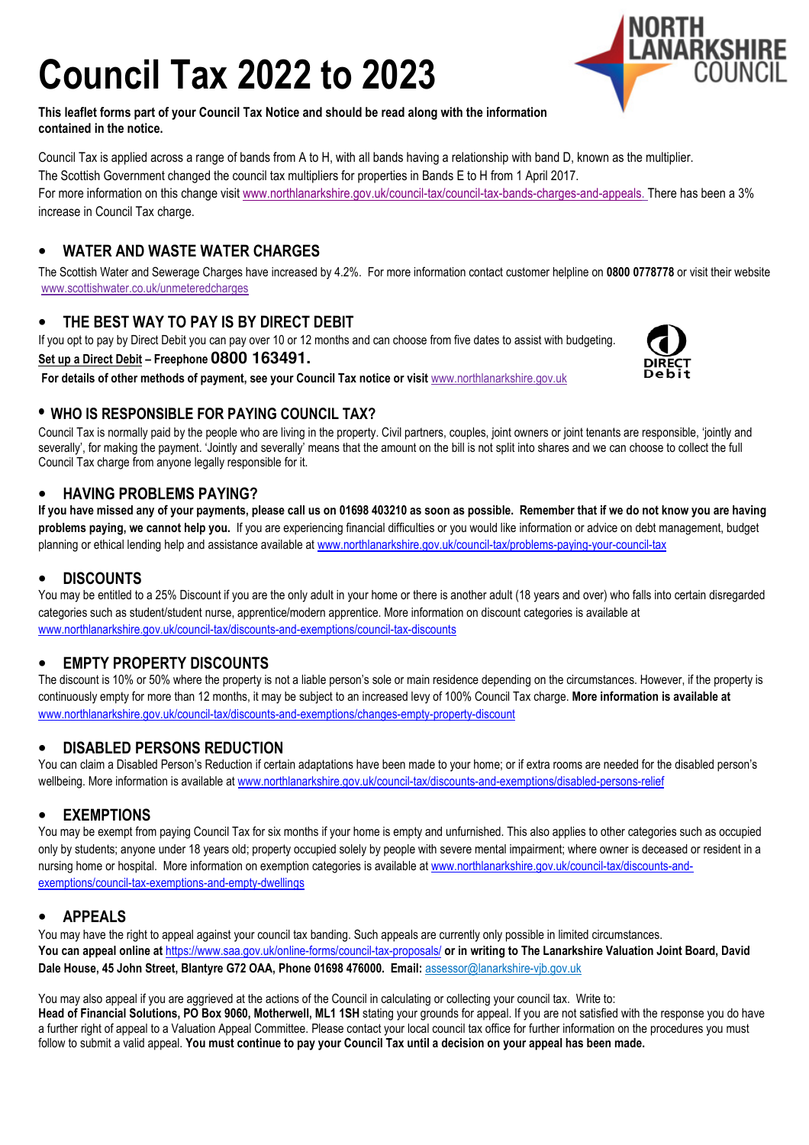# Council Tax 2022 to 2023



This leaflet forms part of your Council Tax Notice and should be read along with the information contained in the notice.

Council Tax is applied across a range of bands from A to H, with all bands having a relationship with band D, known as the multiplier. The Scottish Government changed the council tax multipliers for properties in Bands E to H from 1 April 2017. For more information on this change visit www.northlanarkshire.gov.uk/council-tax/council-tax-bands-charges-and-appeals. There has been a 3% increase in Council Tax charge.

# • WATER AND WASTE WATER CHARGES

The Scottish Water and Sewerage Charges have increased by 4.2%. For more information contact customer helpline on 0800 0778778 or visit their website www.scottishwater.co.uk/unmeteredcharges

# THE BEST WAY TO PAY IS BY DIRECT DEBIT

If you opt to pay by Direct Debit you can pay over 10 or 12 months and can choose from five dates to assist with budgeting. Set up a Direct Debit – Freephone **0800 163491.**

For details of other methods of payment, see your Council Tax notice or visit www.northlanarkshire.gov.uk



# • WHO IS RESPONSIBLE FOR PAYING COUNCIL TAX?

Council Tax is normally paid by the people who are living in the property. Civil partners, couples, joint owners or joint tenants are responsible, 'jointly and severally', for making the payment. 'Jointly and severally' means that the amount on the bill is not split into shares and we can choose to collect the full Council Tax charge from anyone legally responsible for it.

## • HAVING PROBLEMS PAYING?

If you have missed any of your payments, please call us on 01698 403210 as soon as possible. Remember that if we do not know you are having problems paying, we cannot help you. If you are experiencing financial difficulties or you would like information or advice on debt management, budget planning or ethical lending help and assistance available at www.northlanarkshire.gov.uk/council-tax/problems-paying-your-council-tax

## • DISCOUNTS

You may be entitled to a 25% Discount if you are the only adult in your home or there is another adult (18 years and over) who falls into certain disregarded categories such as student/student nurse, apprentice/modern apprentice. More information on discount categories is available at www.northlanarkshire.gov.uk/council-tax/discounts-and-exemptions/council-tax-discounts

# • EMPTY PROPERTY DISCOUNTS

The discount is 10% or 50% where the property is not a liable person's sole or main residence depending on the circumstances. However, if the property is continuously empty for more than 12 months, it may be subject to an increased levy of 100% Council Tax charge. More information is available at www.northlanarkshire.gov.uk/council-tax/discounts-and-exemptions/changes-empty-property-discount

# • DISABLED PERSONS REDUCTION

You can claim a Disabled Person's Reduction if certain adaptations have been made to your home; or if extra rooms are needed for the disabled person's wellbeing. More information is available at www.northlanarkshire.gov.uk/council-tax/discounts-and-exemptions/disabled-persons-relief

## • EXEMPTIONS

You may be exempt from paying Council Tax for six months if your home is empty and unfurnished. This also applies to other categories such as occupied only by students; anyone under 18 years old; property occupied solely by people with severe mental impairment; where owner is deceased or resident in a nursing home or hospital. More information on exemption categories is available at www.northlanarkshire.gov.uk/council-tax/discounts-andexemptions/council-tax-exemptions-and-empty-dwellings

## **APPEALS**

You may have the right to appeal against your council tax banding. Such appeals are currently only possible in limited circumstances. You can appeal online at https://www.saa.gov.uk/online-forms/council-tax-proposals/ or in writing to The Lanarkshire Valuation Joint Board, David Dale House, 45 John Street, Blantyre G72 OAA, Phone 01698 476000. Email: assessor@lanarkshire-vjb.gov.uk

You may also appeal if you are aggrieved at the actions of the Council in calculating or collecting your council tax. Write to: Head of Financial Solutions, PO Box 9060, Motherwell, ML1 1SH stating your grounds for appeal. If you are not satisfied with the response you do have a further right of appeal to a Valuation Appeal Committee. Please contact your local council tax office for further information on the procedures you must follow to submit a valid appeal. You must continue to pay your Council Tax until a decision on your appeal has been made.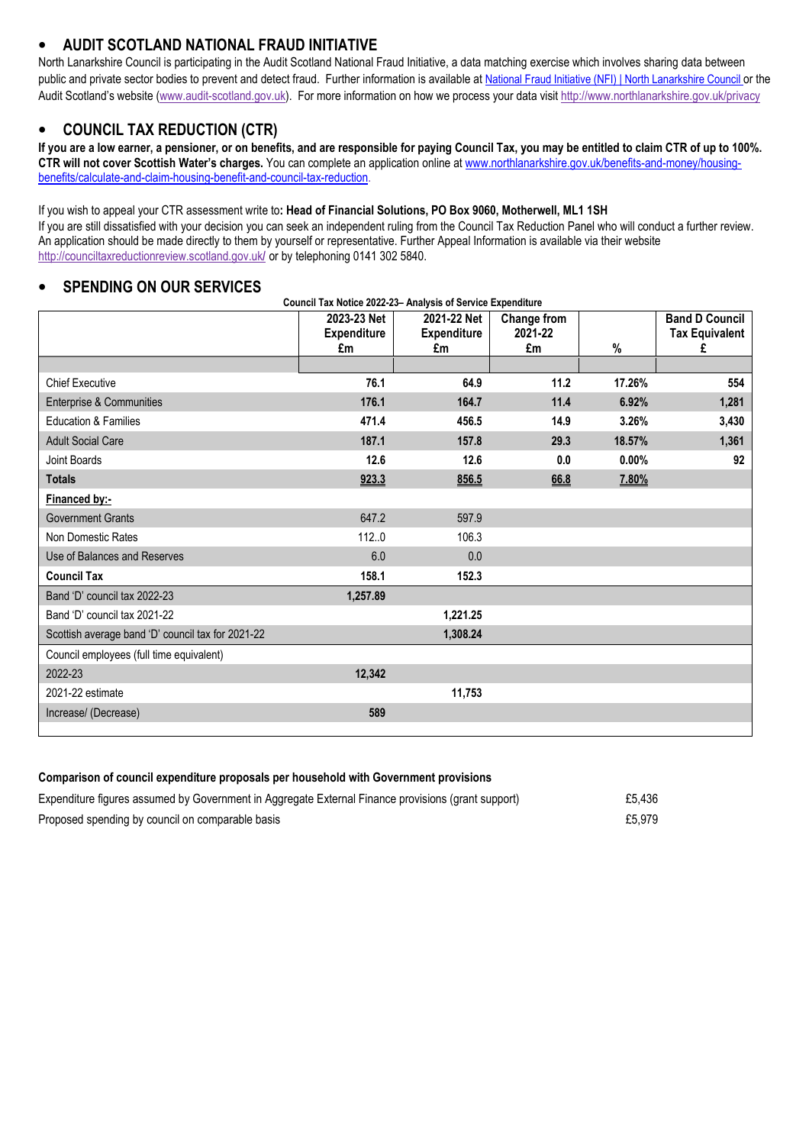# • AUDIT SCOTLAND NATIONAL FRAUD INITIATIVE

North Lanarkshire Council is participating in the Audit Scotland National Fraud Initiative, a data matching exercise which involves sharing data between public and private sector bodies to prevent and detect fraud. Further information is available at National Fraud Initiative (NFI) | North Lanarkshire Council or the Audit Scotland's website (www.audit-scotland.gov.uk). For more information on how we process your data visit http://www.northlanarkshire.gov.uk/privacy

#### • COUNCIL TAX REDUCTION (CTR)

If you are a low earner, a pensioner, or on benefits, and are responsible for paying Council Tax, you may be entitled to claim CTR of up to 100%. CTR will not cover Scottish Water's charges. You can complete an application online at www.northlanarkshire.gov.uk/benefits-and-money/housingbenefits/calculate-and-claim-housing-benefit-and-council-tax-reduction.

#### If you wish to appeal your CTR assessment write to: Head of Financial Solutions, PO Box 9060, Motherwell, ML1 1SH

If you are still dissatisfied with your decision you can seek an independent ruling from the Council Tax Reduction Panel who will conduct a further review. An application should be made directly to them by yourself or representative. Further Appeal Information is available via their website http://counciltaxreductionreview.scotland.gov.uk/ or by telephoning 0141 302 5840.

#### **SPENDING ON OUR SERVICES**

|                                                   | 2023-23 Net<br><b>Expenditure</b><br>£m | 2021-22 Net<br><b>Expenditure</b><br>£m | Change from<br>2021-22<br>£m | %      | <b>Band D Council</b><br><b>Tax Equivalent</b><br>£ |
|---------------------------------------------------|-----------------------------------------|-----------------------------------------|------------------------------|--------|-----------------------------------------------------|
|                                                   |                                         |                                         |                              |        |                                                     |
| <b>Chief Executive</b>                            | 76.1                                    | 64.9                                    | 11.2                         | 17.26% | 554                                                 |
| Enterprise & Communities                          | 176.1                                   | 164.7                                   | 11.4                         | 6.92%  | 1,281                                               |
| <b>Education &amp; Families</b>                   | 471.4                                   | 456.5                                   | 14.9                         | 3.26%  | 3,430                                               |
| <b>Adult Social Care</b>                          | 187.1                                   | 157.8                                   | 29.3                         | 18.57% | 1,361                                               |
| <b>Joint Boards</b>                               | 12.6                                    | 12.6                                    | 0.0                          | 0.00%  | 92                                                  |
| <b>Totals</b>                                     | 923.3                                   | 856.5                                   | 66.8                         | 7.80%  |                                                     |
| Financed by:-                                     |                                         |                                         |                              |        |                                                     |
| <b>Government Grants</b>                          | 647.2                                   | 597.9                                   |                              |        |                                                     |
| Non Domestic Rates                                | 112.0                                   | 106.3                                   |                              |        |                                                     |
| Use of Balances and Reserves                      | 6.0                                     | 0.0                                     |                              |        |                                                     |
| <b>Council Tax</b>                                | 158.1                                   | 152.3                                   |                              |        |                                                     |
| Band 'D' council tax 2022-23                      | 1,257.89                                |                                         |                              |        |                                                     |
| Band 'D' council tax 2021-22                      |                                         | 1,221.25                                |                              |        |                                                     |
| Scottish average band 'D' council tax for 2021-22 |                                         | 1,308.24                                |                              |        |                                                     |
| Council employees (full time equivalent)          |                                         |                                         |                              |        |                                                     |
| 2022-23                                           | 12,342                                  |                                         |                              |        |                                                     |
| 2021-22 estimate                                  |                                         | 11,753                                  |                              |        |                                                     |
| Increase/ (Decrease)                              | 589                                     |                                         |                              |        |                                                     |
|                                                   |                                         |                                         |                              |        |                                                     |

#### Comparison of council expenditure proposals per household with Government provisions

| Expenditure figures assumed by Government in Aggregate External Finance provisions (grant support) | £5.436 |
|----------------------------------------------------------------------------------------------------|--------|
| Proposed spending by council on comparable basis                                                   | £5.979 |